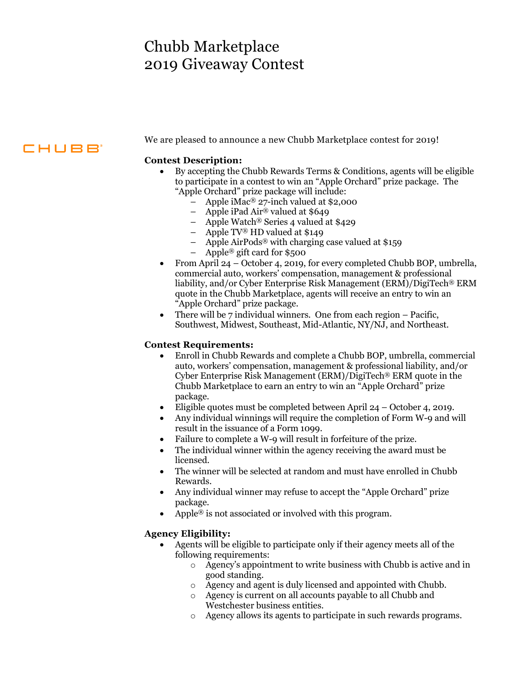# Chubb Marketplace 2019 Giveaway Contest

## **CHUBB**

We are pleased to announce a new Chubb Marketplace contest for 2019!

### **Contest Description:**

- By accepting the Chubb Rewards Terms & Conditions, agents will be eligible to participate in a contest to win an "Apple Orchard" prize package. The "Apple Orchard" prize package will include:
	- Apple iMac<sup>®</sup> 27-inch valued at \$2,000
	- Apple iPad Air® valued at \$649
	- Apple Watch® Series 4 valued at \$429
	- Apple TV® HD valued at \$149
	- Apple AirPods® with charging case valued at \$159
	- Apple® gift card for \$500
- From April 24 October 4, 2019, for every completed Chubb BOP, umbrella, commercial auto, workers' compensation, management & professional liability, and/or Cyber Enterprise Risk Management (ERM)/DigiTech® ERM quote in the Chubb Marketplace, agents will receive an entry to win an "Apple Orchard" prize package.
- There will be 7 individual winners. One from each region Pacific, Southwest, Midwest, Southeast, Mid-Atlantic, NY/NJ, and Northeast.

#### **Contest Requirements:**

- Enroll in Chubb Rewards and complete a Chubb BOP, umbrella, commercial auto, workers' compensation, management & professional liability, and/or Cyber Enterprise Risk Management (ERM)/DigiTech® ERM quote in the Chubb Marketplace to earn an entry to win an "Apple Orchard" prize package.
- Eligible quotes must be completed between April  $24 -$ October 4, 2019.
- result in the issuance of a Form 1099. Any individual winnings will require the completion of Form W-9 and will
- Failure to complete a W-9 will result in forfeiture of the prize.
- The individual winner within the agency receiving the award must be licensed.
- The winner will be selected at random and must have enrolled in Chubb Rewards.
- Any individual winner may refuse to accept the "Apple Orchard" prize package.
- Apple<sup>®</sup> is not associated or involved with this program.

### **Agency Eligibility:**

- Agents will be eligible to participate only if their agency meets all of the following requirements:
	- o Agency's appointment to write business with Chubb is active and in good standing.
	- o Agency and agent is duly licensed and appointed with Chubb.
	- o Agency is current on all accounts payable to all Chubb and Westchester business entities.
	- o Agency allows its agents to participate in such rewards programs.